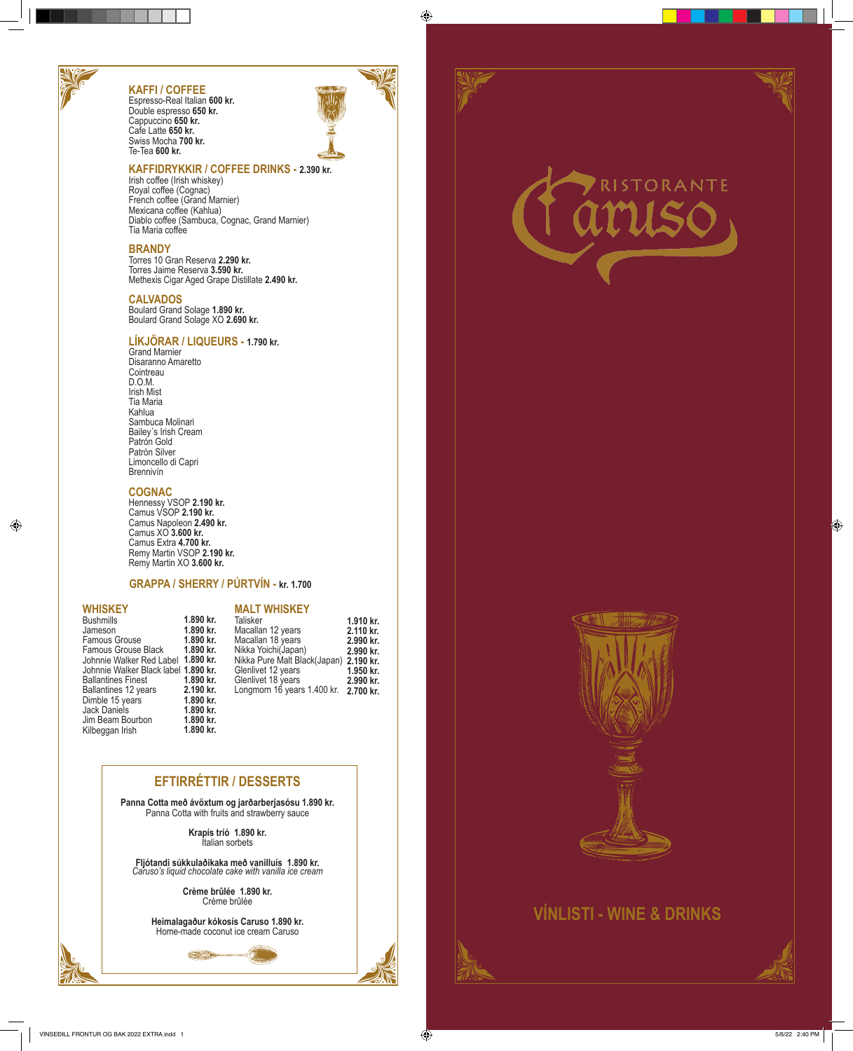# **KAFFI / COFFEE**

Espresso-Real Italian **600 kr.** Double espresso **650 kr.** Cappuccino **650 kr.** Cafe Latte **650 kr.** Swiss Mocha **700 kr.** Te-Tea **600 kr.**

#### **KAFFIDRYKKIR / COFFEE DRINKS - 2.390 kr.**

Irish coffee (Irish whiskey) Royal coffee (Cognac) French coffee (Grand Marnier) Mexicana coffee (Kahlua) Diablo coffee (Sambuca, Cognac, Grand Marnier) Tia Maria coffee

#### **BRANDY**

Torres 10 Gran Reserva **2.290 kr.** Torres Jaime Reserva **3.590 kr.** Methexis Cigar Aged Grape Distillate **2.490 kr.**

#### **CALVADOS**

Boulard Grand Solage **1.890 kr.** Boulard Grand Solage XO **2.690 kr.**

### **LÍKJÖRAR / LIQUEURS - 1.790 kr.**

Grand Marnier Disaranno Amaretto **Cointreau** D.O.M. Irish Mist Tia Maria Kahlua Sambuca Molinari Bailey´s Irish Cream Patrón Gold Patrón Silver Limoncello di Capri Brennivín

#### **COGNAC**

Hennessy VSOP **2.190 kr.** Camus VSOP **2.190 kr.** Camus Napoleon **2.490 kr.** Camus XO **3.600 kr.** Camus Extra **4.700 kr.** Remy Martin VSOP **2.190 kr.** Remy Martin XO **3.600 kr.** 

#### **GRAPPA / SHERRY / PÚRTVÍN - kr. 1.700**

#### **WHISKEY**

| <b>WHISKEY</b>                       |           | <b>MALT WHISKEY</b>                    |           |
|--------------------------------------|-----------|----------------------------------------|-----------|
| <b>Bushmills</b>                     | 1.890 kr. | Talisker                               | 1.910 kr. |
| Jameson                              | 1.890 kr. | Macallan 12 years                      | 2.110 kr. |
| <b>Famous Grouse</b>                 | 1.890 kr. | Macallan 18 years                      | 2.990 kr. |
| Famous Grouse Black                  | 1.890 kr. | Nikka Yoichi(Japan)                    | 2.990 kr. |
| Johnnie Walker Red Label 1.890 kr.   |           | Nikka Pure Malt Black(Japan) 2.190 kr. |           |
| Johnnie Walker Black label 1.890 kr. |           | Glenlivet 12 years                     | 1.950 kr. |
| <b>Ballantines Finest</b>            | 1.890 kr. | Glenlivet 18 years                     | 2.990 kr. |
| Ballantines 12 years                 | 2.190 kr. | Longmorn 16 years 1.400 kr. 2.700 kr.  |           |
| Dimble 15 years                      | 1.890 kr. |                                        |           |
| Jack Daniels                         | 1.890 kr. |                                        |           |
| Jim Beam Bourbon                     | 1.890 kr. |                                        |           |
| Kilbeggan Irish                      | 1.890 kr. |                                        |           |

## **EFTIRRÉTTIR / DESSERTS**

**Panna Cotta með ávöxtum og jarðarberjasósu 1.890 kr.** Panna Cotta with fruits and strawberry sauce

> **Krapís tríó 1.890 kr.** Italian sorbets

**Fljótandi súkkulaðikaka með vanilluís 1.890 kr.** *Caruso's liquid chocolate cake with vanilla ice cream*

> **Crème brûlée 1.890 kr.** Crème brûlée

**Heimalagaður kókosís Caruso 1.890 kr.** Home-made coconut ice cream Caruso



# ORANTE



# **VÍNLISTI - WINE & DRINKS**

VINSEÐILL FRONTUR OG BAK 2022 EXTRA.indd 1 5/6/22 2:40 PM

 $\bigoplus$ 

 $\bigoplus$